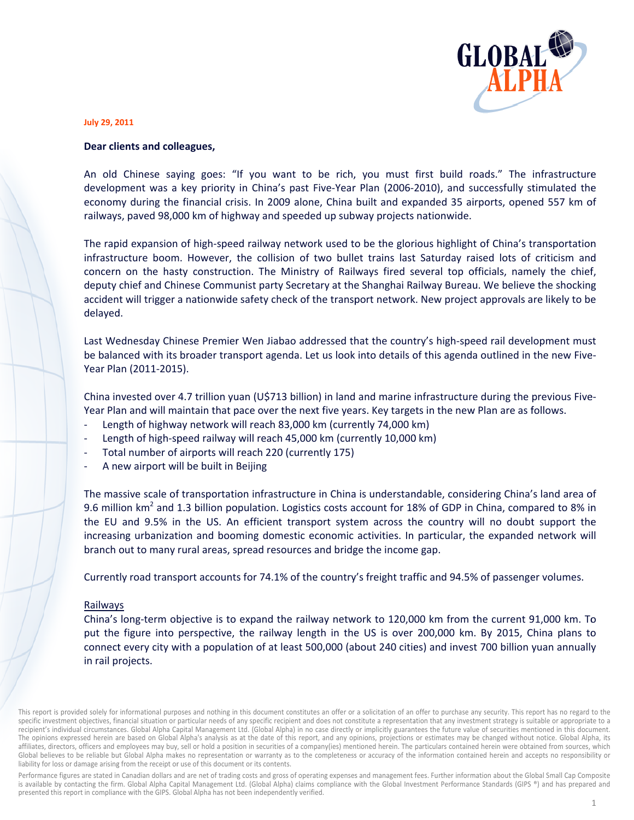

#### **July 29, 2011**

### Dear clients and colleagues,

An old Chinese saying goes: "If you want to be rich, you must first build roads." The infrastructure development was a key priority in China's past Five-Year Plan (2006-2010), and successfully stimulated the economy during the financial crisis. In 2009 alone, China built and expanded 35 airports, opened 557 km of railways, paved 98,000 km of highway and speeded up subway projects nationwide.

The rapid expansion of high-speed railway network used to be the glorious highlight of China's transportation infrastructure boom. However, the collision of two bullet trains last Saturday raised lots of criticism and concern on the hasty construction. The Ministry of Railways fired several top officials, namely the chief, deputy chief and Chinese Communist party Secretary at the Shanghai Railway Bureau. We believe the shocking accident will trigger a nationwide safety check of the transport network. New project approvals are likely to be delayed.

Last Wednesday Chinese Premier Wen Jiabao addressed that the country's high-speed rail development must be balanced with its broader transport agenda. Let us look into details of this agenda outlined in the new Five-Year Plan (2011-2015).

China invested over 4.7 trillion yuan (U\$713 billion) in land and marine infrastructure during the previous Five-Year Plan and will maintain that pace over the next five years. Key targets in the new Plan are as follows.

- Length of highway network will reach 83,000 km (currently 74,000 km)
- Length of high-speed railway will reach 45,000 km (currently 10,000 km)
- Total number of airports will reach 220 (currently 175)
- A new airport will be built in Beijing

The massive scale of transportation infrastructure in China is understandable, considering China's land area of 9.6 million km<sup>2</sup> and 1.3 billion population. Logistics costs account for 18% of GDP in China, compared to 8% in the EU and 9.5% in the US. An efficient transport system across the country will no doubt support the increasing urbanization and booming domestic economic activities. In particular, the expanded network will branch out to many rural areas, spread resources and bridge the income gap.

Currently road transport accounts for 74.1% of the country's freight traffic and 94.5% of passenger volumes.

#### Railways

China's long-term objective is to expand the railway network to 120,000 km from the current 91,000 km. To put the figure into perspective, the railway length in the US is over 200,000 km. By 2015, China plans to connect every city with a population of at least 500,000 (about 240 cities) and invest 700 billion yuan annually in rail projects.

Performance figures are stated in Canadian dollars and are net of trading costs and gross of operating expenses and management fees. Further information about the Global Small Cap Composite is available by contacting the firm. Global Alpha Capital Management Ltd. (Global Alpha) claims compliance with the Global Investment Performance Standards (GIPS ®) and has prepared and presented this report in compliance with the GIPS. Global Alpha has not been independently verified.

This report is provided solely for informational purposes and nothing in this document constitutes an offer or a solicitation of an offer to purchase any security. This report has no regard to the specific investment objectives, financial situation or particular needs of any specific recipient and does not constitute a representation that any investment strategy is suitable or appropriate to a recipient's individual circumstances. Global Alpha Capital Management Ltd. (Global Alpha) in no case directly or implicitly guarantees the future value of securities mentioned in this document. The opinions expressed herein are based on Global Alpha's analysis as at the date of this report, and any opinions, projections or estimates may be changed without notice. Global Alpha, its affiliates, directors, officers and employees may buy, sell or hold a position in securities of a company(ies) mentioned herein. The particulars contained herein were obtained from sources, which Global believes to be reliable but Global Alpha makes no representation or warranty as to the completeness or accuracy of the information contained herein and accepts no responsibility or liability for loss or damage arising from the receipt or use of this document or its contents.